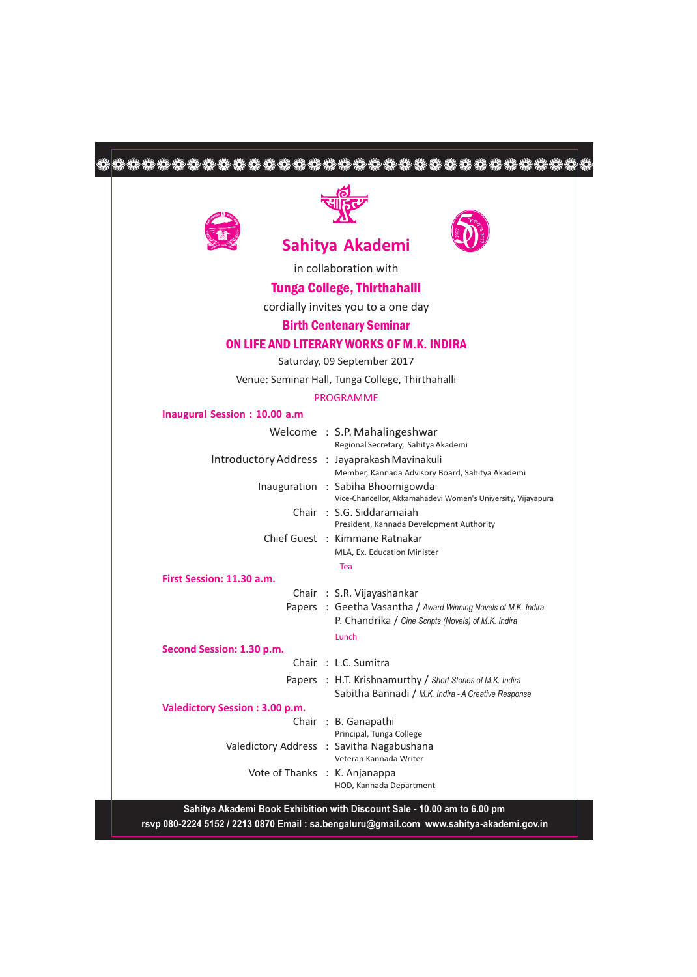# 







in collaboration with

## Tunga College, Thirthahalli

cordially invites you to a one day

#### Birth Centenary Seminar

### ON LIFE AND LITERARY WORKS OF M.K. INDIRA

Saturday, 09 September 2017

Venue: Seminar Hall, Tunga College, Thirthahalli

#### PROGRAMME

#### **Inaugural Session : 10.00 a.m**

|                                | Welcome: S.P. Mahalingeshwar<br>Regional Secretary, Sahitya Akademi                                                   |
|--------------------------------|-----------------------------------------------------------------------------------------------------------------------|
|                                | Introductory Address : Jayaprakash Mavinakuli<br>Member, Kannada Advisory Board, Sahitya Akademi                      |
|                                | Inauguration : Sabiha Bhoomigowda<br>Vice-Chancellor, Akkamahadevi Women's University, Vijayapura                     |
|                                | Chair: S.G. Siddaramaiah<br>President, Kannada Development Authority                                                  |
|                                | Chief Guest: Kimmane Ratnakar                                                                                         |
|                                | MLA, Ex. Education Minister                                                                                           |
|                                | Tea                                                                                                                   |
| First Session: 11.30 a.m.      |                                                                                                                       |
|                                | Chair: S.R. Vijayashankar                                                                                             |
|                                | Papers : Geetha Vasantha / Award Winning Novels of M.K. Indira<br>P. Chandrika / Cine Scripts (Novels) of M.K. Indira |
|                                | Lunch                                                                                                                 |
| Second Session: 1.30 p.m.      |                                                                                                                       |
|                                | Chair: L.C. Sumitra                                                                                                   |
|                                | Papers : H.T. Krishnamurthy / Short Stories of M.K. Indira<br>Sabitha Bannadi / M.K. Indira - A Creative Response     |
| Valedictory Session: 3.00 p.m. |                                                                                                                       |
|                                | Chair: B. Ganapathi<br>Principal, Tunga College                                                                       |
|                                | Valedictory Address : Savitha Nagabushana<br>Veteran Kannada Writer                                                   |
| Vote of Thanks : K. Anjanappa  | HOD, Kannada Department                                                                                               |
|                                |                                                                                                                       |

**Sahitya Akademi Book Exhibition with Discount Sale - 10.00 am to 6.00 pm rsvp 080-2224 5152 / 2213 0870 Email : sa.bengaluru@gmail.com www.sahitya-akademi.gov.in**